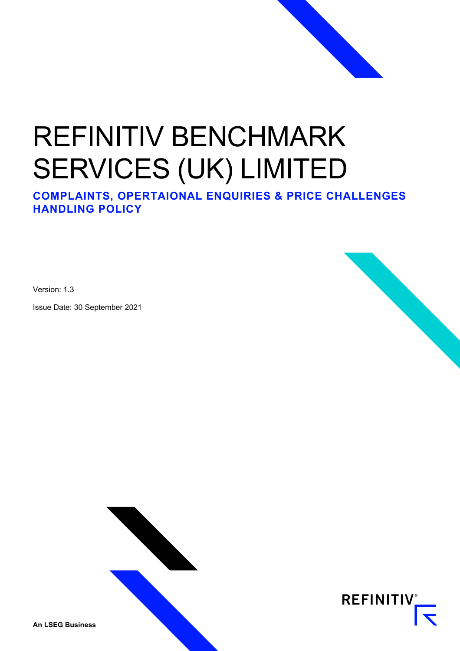# REFINITIV BENCHMARK SERVICES (UK) LIMITED

**COMPLAINTS, OPERTAIONAL ENQUIRIES & PRICE CHALLENGES HANDLING POLICY**

Version: 1.3

Issue Date: 30 September 2021





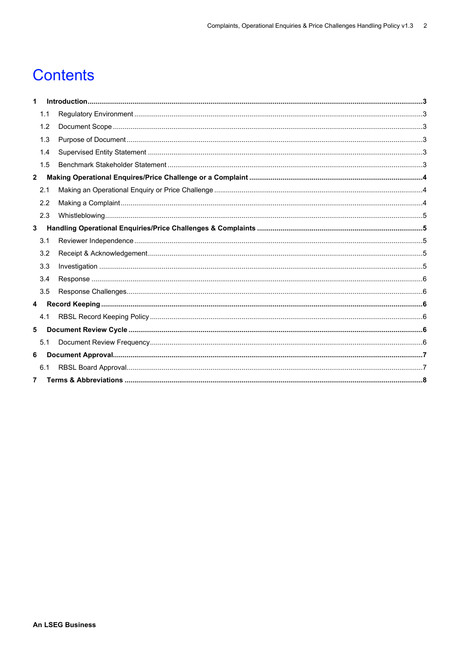# **Contents**

| 1            |     |  |  |  |  |
|--------------|-----|--|--|--|--|
|              | 1.1 |  |  |  |  |
|              | 1.2 |  |  |  |  |
|              | 1.3 |  |  |  |  |
|              | 1.4 |  |  |  |  |
|              | 1.5 |  |  |  |  |
| $\mathbf{2}$ |     |  |  |  |  |
|              | 2.1 |  |  |  |  |
|              | 2.2 |  |  |  |  |
|              | 2.3 |  |  |  |  |
| 3            |     |  |  |  |  |
|              | 3.1 |  |  |  |  |
|              | 3.2 |  |  |  |  |
|              | 3.3 |  |  |  |  |
|              | 3.4 |  |  |  |  |
|              | 3.5 |  |  |  |  |
| 4            |     |  |  |  |  |
|              | 4.1 |  |  |  |  |
| 5            |     |  |  |  |  |
|              | 5.1 |  |  |  |  |
| 6            |     |  |  |  |  |
|              | 6.1 |  |  |  |  |
| 7            |     |  |  |  |  |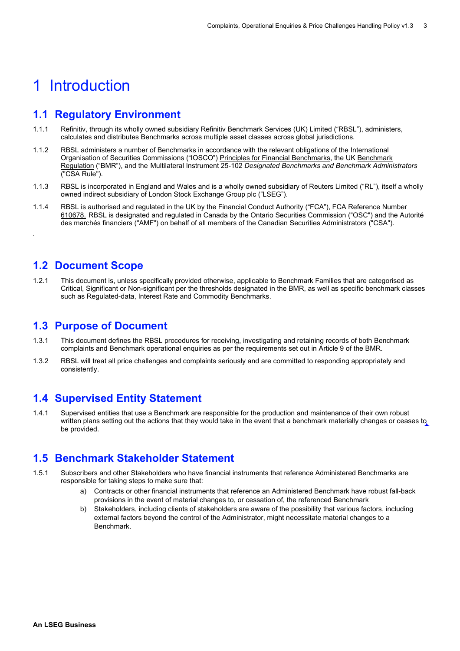# <span id="page-2-0"></span>1 Introduction

### <span id="page-2-1"></span>**1.1 Regulatory Environment**

- 1.1.1 Refinitiv, through its wholly owned subsidiary Refinitiv Benchmark Services (UK) Limited ("RBSL"), administers, calculates and distributes Benchmarks across multiple asset classes across global jurisdictions.
- 1.1.2 RBSL administers a number of Benchmarks in accordance with the relevant obligations of the International Organisation of Securities Commissions ("IOSCO") [Principles for Financial Benchmarks,](https://nam12.safelinks.protection.outlook.com/?url=https%3A%2F%2Fwww.iosco.org%2Flibrary%2Fpubdocs%2Fpdf%2FIOSCOPD415.pdf&data=04%7C01%7Cwendy.trump%40refinitiv.com%7Cda49d3efbdc64a83dbfe08d93653edf3%7C71ad2f6261e244fc9e8586c2827f6de9%7C0%7C0%7C637600556362581431%7CUnknown%7CTWFpbGZsb3d8eyJWIjoiMC4wLjAwMDAiLCJQIjoiV2luMzIiLCJBTiI6Ik1haWwiLCJXVCI6Mn0%3D%7C1000&sdata=pUvlH48DH5SIZlj5h1PrvDyaEsf9KrJTW2E9apfC43s%3D&reserved=0) the UK [Benchmark](https://nam12.safelinks.protection.outlook.com/?url=https%3A%2F%2Feur-lex.europa.eu%2Flegal-content%2FEN%2FTXT%2FPDF%2F%3Furi%3DCELEX%3A32016R1011%26from%3DEN&data=04%7C01%7Cwendy.trump%40refinitiv.com%7Cda49d3efbdc64a83dbfe08d93653edf3%7C71ad2f6261e244fc9e8586c2827f6de9%7C0%7C0%7C637600556362591385%7CUnknown%7CTWFpbGZsb3d8eyJWIjoiMC4wLjAwMDAiLCJQIjoiV2luMzIiLCJBTiI6Ik1haWwiLCJXVCI6Mn0%3D%7C1000&sdata=orry9wUpfjarJJgkCkjUmOQuGlYJX33Lg9E3BTDUOlU%3D&reserved=0)  [Regulation](https://nam12.safelinks.protection.outlook.com/?url=https%3A%2F%2Feur-lex.europa.eu%2Flegal-content%2FEN%2FTXT%2FPDF%2F%3Furi%3DCELEX%3A32016R1011%26from%3DEN&data=04%7C01%7Cwendy.trump%40refinitiv.com%7Cda49d3efbdc64a83dbfe08d93653edf3%7C71ad2f6261e244fc9e8586c2827f6de9%7C0%7C0%7C637600556362591385%7CUnknown%7CTWFpbGZsb3d8eyJWIjoiMC4wLjAwMDAiLCJQIjoiV2luMzIiLCJBTiI6Ik1haWwiLCJXVCI6Mn0%3D%7C1000&sdata=orry9wUpfjarJJgkCkjUmOQuGlYJX33Lg9E3BTDUOlU%3D&reserved=0) ("BMR"), and the Multilateral Instrument 25-102 *Designated Benchmarks and Benchmark Administrators*  ("CSA Rule").
- 1.1.3 RBSL is incorporated in England and Wales and is a wholly owned subsidiary of Reuters Limited ("RL"), itself a wholly owned indirect subsidiary of London Stock Exchange Group plc ("LSEG").
- 1.1.4 RBSL is authorised and regulated in the UK by the Financial Conduct Authority ("FCA"), FCA Reference Number [610678.](https://nam12.safelinks.protection.outlook.com/?url=https%3A%2F%2Fregister.fca.org.uk%2FShPo_FirmDetailsPage%3Fid%3D001b000000NMhY4AAL&data=04%7C01%7Cwendy.trump%40refinitiv.com%7Cda49d3efbdc64a83dbfe08d93653edf3%7C71ad2f6261e244fc9e8586c2827f6de9%7C0%7C0%7C637600556362591385%7CUnknown%7CTWFpbGZsb3d8eyJWIjoiMC4wLjAwMDAiLCJQIjoiV2luMzIiLCJBTiI6Ik1haWwiLCJXVCI6Mn0%3D%7C1000&sdata=MVV6gq8y1waAeaJGNPSEj67N9b%2B7%2BoYhroReZMOoAcs%3D&reserved=0) RBSL is designated and regulated in Canada by the Ontario Securities Commission ("OSC") and the Autorité des marchés financiers ("AMF") on behalf of all members of the Canadian Securities Administrators ("CSA").

### <span id="page-2-2"></span>**1.2 Document Scope**

.

1.2.1 This document is, unless specifically provided otherwise, applicable to Benchmark Families that are categorised as Critical, Significant or Non-significant per the thresholds designated in the BMR, as well as specific benchmark classes such as Regulated-data, Interest Rate and Commodity Benchmarks.

#### <span id="page-2-3"></span>**1.3 Purpose of Document**

- 1.3.1 This document defines the RBSL procedures for receiving, investigating and retaining records of both Benchmark complaints and Benchmark operational enquiries as per the requirements set out in Article 9 of the BMR.
- 1.3.2 RBSL will treat all price challenges and complaints seriously and are committed to responding appropriately and consistently.

### <span id="page-2-4"></span>**1.4 Supervised Entity Statement**

1.4.1 Supervised entities that use a Benchmark are responsible for the production and maintenance of their own robust written plans setting out the actions that they would take in the event that a benchmark materially changes or ceases to be provided.

### <span id="page-2-5"></span>**1.5 Benchmark Stakeholder Statement**

- 1.5.1 Subscribers and other Stakeholders who have financial instruments that reference Administered Benchmarks are responsible for taking steps to make sure that:
	- a) Contracts or other financial instruments that reference an Administered Benchmark have robust fall-back provisions in the event of material changes to, or cessation of, the referenced Benchmark
	- b) Stakeholders, including clients of stakeholders are aware of the possibility that various factors, including external factors beyond the control of the Administrator, might necessitate material changes to a Benchmark.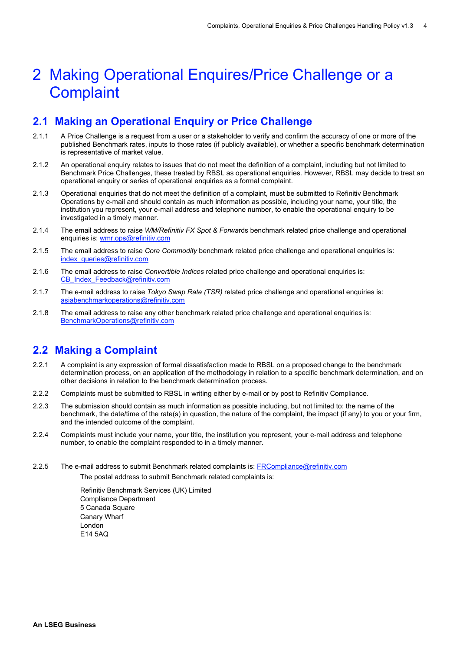# <span id="page-3-0"></span>2 Making Operational Enquires/Price Challenge or a **Complaint**

### <span id="page-3-1"></span>**2.1 Making an Operational Enquiry or Price Challenge**

- 2.1.1 A Price Challenge is a request from a user or a stakeholder to verify and confirm the accuracy of one or more of the published Benchmark rates, inputs to those rates (if publicly available), or whether a specific benchmark determination is representative of market value.
- 2.1.2 An operational enquiry relates to issues that do not meet the definition of a complaint, including but not limited to Benchmark Price Challenges, these treated by RBSL as operational enquiries. However, RBSL may decide to treat an operational enquiry or series of operational enquiries as a formal complaint.
- 2.1.3 Operational enquiries that do not meet the definition of a complaint, must be submitted to Refinitiv Benchmark Operations by e-mail and should contain as much information as possible, including your name, your title, the institution you represent, your e-mail address and telephone number, to enable the operational enquiry to be investigated in a timely manner.
- 2.1.4 The email address to raise *WM/Refinitiv FX Spot & Forwa*rds benchmark related price challenge and operational enquiries is: [wmr.ops@refinitiv.com](mailto:wmr.ops@refinitiv.com)
- 2.1.5 The email address to raise *Core Commodity* benchmark related price challenge and operational enquiries is: [index\\_queries@refinitiv.com](mailto:index_queries@refinitiv.com)
- 2.1.6 The email address to raise *Convertible Indices* related price challenge and operational enquiries is: [CB\\_Index\\_Feedback@refinitiv.com](mailto:CB_Index_Feedback@refinitiv.com)
- 2.1.7 The e-mail address to raise *Tokyo Swap Rate (TSR)* related price challenge and operational enquiries is: asiabenchmarkoperations@refinitiv.com
- 2.1.8 The email address to raise any other benchmark related price challenge and operational enquiries is: [BenchmarkOperations@refinitiv.com](mailto:BenchmarkOperations@refinitiv.com)

### <span id="page-3-2"></span>**2.2 Making a Complaint**

- 2.2.1 A complaint is any expression of formal dissatisfaction made to RBSL on a proposed change to the benchmark determination process, on an application of the methodology in relation to a specific benchmark determination, and on other decisions in relation to the benchmark determination process.
- 2.2.2 Complaints must be submitted to RBSL in writing either by e-mail or by post to Refinitiv Compliance.
- 2.2.3 The submission should contain as much information as possible including, but not limited to: the name of the benchmark, the date/time of the rate(s) in question, the nature of the complaint, the impact (if any) to you or your firm, and the intended outcome of the complaint.
- 2.2.4 Complaints must include your name, your title, the institution you represent, your e-mail address and telephone number, to enable the complaint responded to in a timely manner.
- 2.2.5 The e-mail address to submit Benchmark related complaints is: [FRCompliance@refinitiv.com](mailto:FRCompliance@refinitiv.com) The postal address to submit Benchmark related complaints is:

Refinitiv Benchmark Services (UK) Limited Compliance Department 5 Canada Square Canary Wharf London E14 5AQ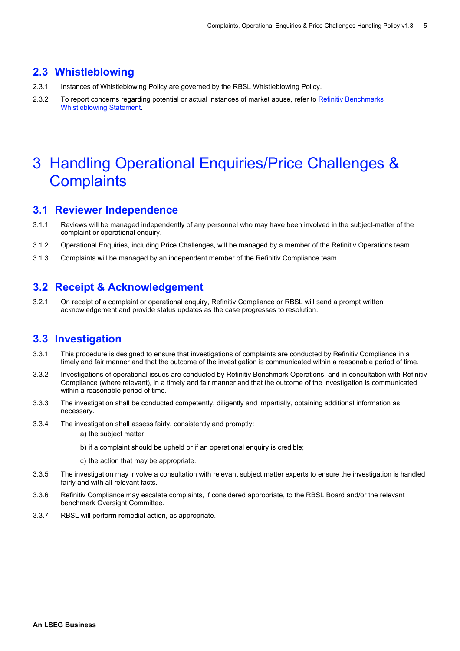#### <span id="page-4-0"></span>**2.3 Whistleblowing**

- 2.3.1 Instances of Whistleblowing Policy are governed by the RBSL Whistleblowing Policy.
- 2.3.2 To report concerns regarding potential or actual instances of market abuse, refer t[o Refinitiv Benchmarks](https://www.refinitiv.com/content/dam/marketing/en_us/documents/policies/whistleblowing-statement-reporting-suspicious-activity.pdf)  [Whistleblowing Statement.](https://www.refinitiv.com/content/dam/marketing/en_us/documents/policies/whistleblowing-statement-reporting-suspicious-activity.pdf)

# <span id="page-4-1"></span>3 Handling Operational Enquiries/Price Challenges & **Complaints**

#### <span id="page-4-2"></span>**3.1 Reviewer Independence**

- 3.1.1 Reviews will be managed independently of any personnel who may have been involved in the subject-matter of the complaint or operational enquiry.
- 3.1.2 Operational Enquiries, including Price Challenges, will be managed by a member of the Refinitiv Operations team.
- 3.1.3 Complaints will be managed by an independent member of the Refinitiv Compliance team.

### <span id="page-4-3"></span>**3.2 Receipt & Acknowledgement**

3.2.1 On receipt of a complaint or operational enquiry, Refinitiv Compliance or RBSL will send a prompt written acknowledgement and provide status updates as the case progresses to resolution.

#### <span id="page-4-4"></span>**3.3 Investigation**

- 3.3.1 This procedure is designed to ensure that investigations of complaints are conducted by Refinitiv Compliance in a timely and fair manner and that the outcome of the investigation is communicated within a reasonable period of time.
- 3.3.2 Investigations of operational issues are conducted by Refinitiv Benchmark Operations, and in consultation with Refinitiv Compliance (where relevant), in a timely and fair manner and that the outcome of the investigation is communicated within a reasonable period of time.
- 3.3.3 The investigation shall be conducted competently, diligently and impartially, obtaining additional information as necessary.
- 3.3.4 The investigation shall assess fairly, consistently and promptly:
	- a) the subject matter;
	- b) if a complaint should be upheld or if an operational enquiry is credible;
	- c) the action that may be appropriate.
- 3.3.5 The investigation may involve a consultation with relevant subject matter experts to ensure the investigation is handled fairly and with all relevant facts.
- 3.3.6 Refinitiv Compliance may escalate complaints, if considered appropriate, to the RBSL Board and/or the relevant benchmark Oversight Committee.
- 3.3.7 RBSL will perform remedial action, as appropriate.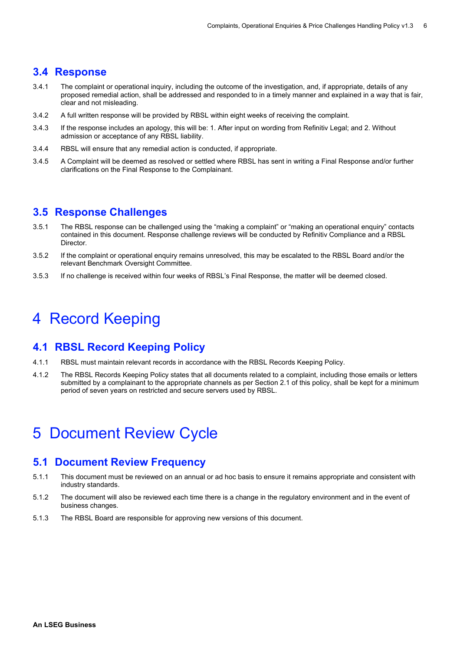#### <span id="page-5-0"></span>**3.4 Response**

- 3.4.1 The complaint or operational inquiry, including the outcome of the investigation, and, if appropriate, details of any proposed remedial action, shall be addressed and responded to in a timely manner and explained in a way that is fair, clear and not misleading.
- 3.4.2 A full written response will be provided by RBSL within eight weeks of receiving the complaint.
- 3.4.3 If the response includes an apology, this will be: 1. After input on wording from Refinitiv Legal; and 2. Without admission or acceptance of any RBSL liability.
- 3.4.4 RBSL will ensure that any remedial action is conducted, if appropriate.
- 3.4.5 A Complaint will be deemed as resolved or settled where RBSL has sent in writing a Final Response and/or further clarifications on the Final Response to the Complainant.

### <span id="page-5-1"></span>**3.5 Response Challenges**

- 3.5.1 The RBSL response can be challenged using the "making a complaint" or "making an operational enquiry" contacts contained in this document. Response challenge reviews will be conducted by Refinitiv Compliance and a RBSL Director.
- 3.5.2 If the complaint or operational enquiry remains unresolved, this may be escalated to the RBSL Board and/or the relevant Benchmark Oversight Committee.
- 3.5.3 If no challenge is received within four weeks of RBSL's Final Response, the matter will be deemed closed.

# <span id="page-5-2"></span>4 Record Keeping

#### <span id="page-5-3"></span>**4.1 RBSL Record Keeping Policy**

- 4.1.1 RBSL must maintain relevant records in accordance with the RBSL Records Keeping Policy.
- 4.1.2 The RBSL Records Keeping Policy states that all documents related to a complaint, including those emails or letters submitted by a complainant to the appropriate channels as per Section 2.1 of this policy, shall be kept for a minimum period of seven years on restricted and secure servers used by RBSL.

# <span id="page-5-4"></span>5 Document Review Cycle

#### <span id="page-5-5"></span>**5.1 Document Review Frequency**

- 5.1.1 This document must be reviewed on an annual or ad hoc basis to ensure it remains appropriate and consistent with industry standards.
- 5.1.2 The document will also be reviewed each time there is a change in the regulatory environment and in the event of business changes.
- 5.1.3 The RBSL Board are responsible for approving new versions of this document.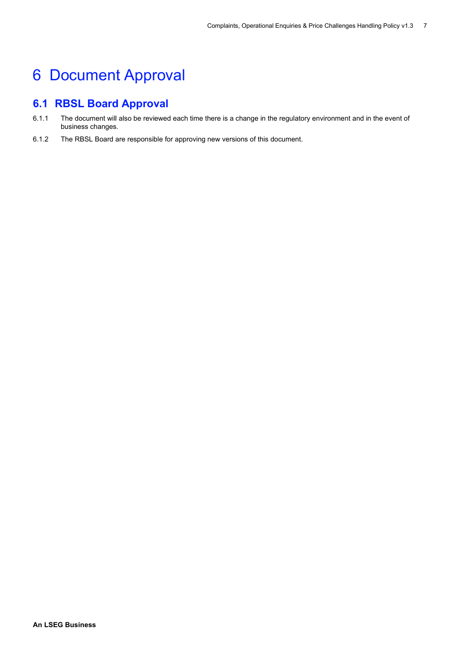# <span id="page-6-0"></span>6 Document Approval

## <span id="page-6-1"></span>**6.1 RBSL Board Approval**

- 6.1.1 The document will also be reviewed each time there is a change in the regulatory environment and in the event of business changes.
- 6.1.2 The RBSL Board are responsible for approving new versions of this document.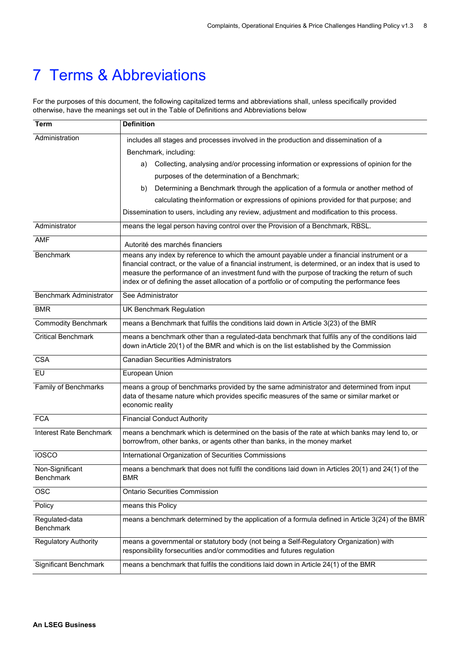# <span id="page-7-0"></span>7 Terms & Abbreviations

For the purposes of this document, the following capitalized terms and abbreviations shall, unless specifically provided otherwise, have the meanings set out in the Table of Definitions and Abbreviations below

| Term                                | <b>Definition</b>                                                                                                                                                                                                                                                                                                                                                                                      |
|-------------------------------------|--------------------------------------------------------------------------------------------------------------------------------------------------------------------------------------------------------------------------------------------------------------------------------------------------------------------------------------------------------------------------------------------------------|
| Administration                      | includes all stages and processes involved in the production and dissemination of a                                                                                                                                                                                                                                                                                                                    |
|                                     | Benchmark, including:                                                                                                                                                                                                                                                                                                                                                                                  |
|                                     | Collecting, analysing and/or processing information or expressions of opinion for the<br>a)                                                                                                                                                                                                                                                                                                            |
|                                     | purposes of the determination of a Benchmark;                                                                                                                                                                                                                                                                                                                                                          |
|                                     | Determining a Benchmark through the application of a formula or another method of<br>b)                                                                                                                                                                                                                                                                                                                |
|                                     | calculating theinformation or expressions of opinions provided for that purpose; and                                                                                                                                                                                                                                                                                                                   |
|                                     | Dissemination to users, including any review, adjustment and modification to this process.                                                                                                                                                                                                                                                                                                             |
| Administrator                       | means the legal person having control over the Provision of a Benchmark, RBSL.                                                                                                                                                                                                                                                                                                                         |
| <b>AMF</b>                          | Autorité des marchés financiers                                                                                                                                                                                                                                                                                                                                                                        |
| Benchmark                           | means any index by reference to which the amount payable under a financial instrument or a<br>financial contract, or the value of a financial instrument, is determined, or an index that is used to<br>measure the performance of an investment fund with the purpose of tracking the return of such<br>index or of defining the asset allocation of a portfolio or of computing the performance fees |
| <b>Benchmark Administrator</b>      | See Administrator                                                                                                                                                                                                                                                                                                                                                                                      |
| <b>BMR</b>                          | <b>UK Benchmark Regulation</b>                                                                                                                                                                                                                                                                                                                                                                         |
| <b>Commodity Benchmark</b>          | means a Benchmark that fulfils the conditions laid down in Article 3(23) of the BMR                                                                                                                                                                                                                                                                                                                    |
| <b>Critical Benchmark</b>           | means a benchmark other than a regulated-data benchmark that fulfils any of the conditions laid<br>down inArticle 20(1) of the BMR and which is on the list established by the Commission                                                                                                                                                                                                              |
| CSA                                 | <b>Canadian Securities Administrators</b>                                                                                                                                                                                                                                                                                                                                                              |
| <b>EU</b>                           | European Union                                                                                                                                                                                                                                                                                                                                                                                         |
| Family of Benchmarks                | means a group of benchmarks provided by the same administrator and determined from input<br>data of thesame nature which provides specific measures of the same or similar market or<br>economic reality                                                                                                                                                                                               |
| <b>FCA</b>                          | <b>Financial Conduct Authority</b>                                                                                                                                                                                                                                                                                                                                                                     |
| Interest Rate Benchmark             | means a benchmark which is determined on the basis of the rate at which banks may lend to, or<br>borrowfrom, other banks, or agents other than banks, in the money market                                                                                                                                                                                                                              |
| <b>IOSCO</b>                        | International Organization of Securities Commissions                                                                                                                                                                                                                                                                                                                                                   |
| Non-Significant<br><b>Benchmark</b> | means a benchmark that does not fulfil the conditions laid down in Articles 20(1) and 24(1) of the<br><b>BMR</b>                                                                                                                                                                                                                                                                                       |
| <b>OSC</b>                          | <b>Ontario Securities Commission</b>                                                                                                                                                                                                                                                                                                                                                                   |
| Policy                              | means this Policy                                                                                                                                                                                                                                                                                                                                                                                      |
| Regulated-data<br><b>Benchmark</b>  | means a benchmark determined by the application of a formula defined in Article 3(24) of the BMR                                                                                                                                                                                                                                                                                                       |
| <b>Regulatory Authority</b>         | means a governmental or statutory body (not being a Self-Regulatory Organization) with<br>responsibility forsecurities and/or commodities and futures regulation                                                                                                                                                                                                                                       |
| <b>Significant Benchmark</b>        | means a benchmark that fulfils the conditions laid down in Article 24(1) of the BMR                                                                                                                                                                                                                                                                                                                    |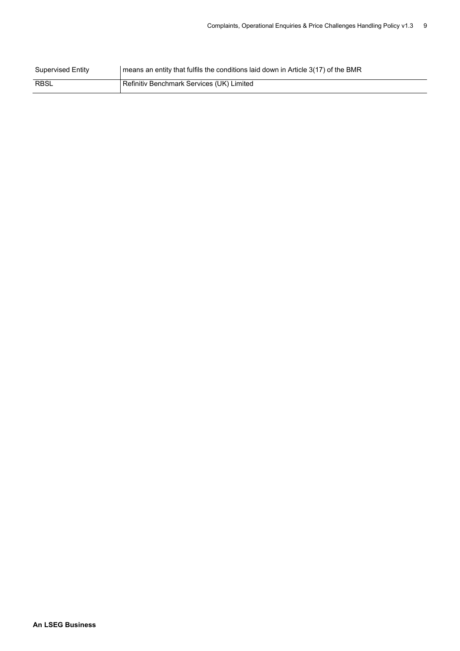| <b>Supervised Entity</b> | means an entity that fulfils the conditions laid down in Article 3(17) of the BMR |
|--------------------------|-----------------------------------------------------------------------------------|
| <b>RBSL</b>              | Refinitiv Benchmark Services (UK) Limited                                         |